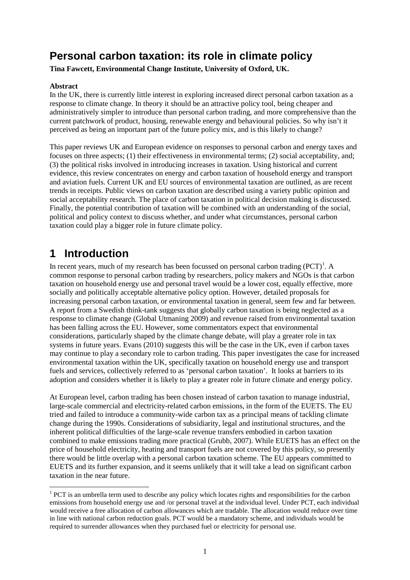# **Personal carbon taxation: its role in climate policy**

**Tina Fawcett, Environmental Change Institute, University of Oxford, UK.**

#### **Abstract**

In the UK, there is currently little interest in exploring increased direct personal carbon taxation as a response to climate change. In theory it should be an attractive policy tool, being cheaper and administratively simpler to introduce than personal carbon trading, and more comprehensive than the current patchwork of product, housing, renewable energy and behavioural policies. So why isn't it perceived as being an important part of the future policy mix, and is this likely to change?

This paper reviews UK and European evidence on responses to personal carbon and energy taxes and focuses on three aspects; (1) their effectiveness in environmental terms; (2) social acceptability, and; (3) the political risks involved in introducing increases in taxation. Using historical and current evidence, this review concentrates on energy and carbon taxation of household energy and transport and aviation fuels. Current UK and EU sources of environmental taxation are outlined, as are recent trends in receipts. Public views on carbon taxation are described using a variety public opinion and social acceptability research. The place of carbon taxation in political decision making is discussed. Finally, the potential contribution of taxation will be combined with an understanding of the social, political and policy context to discuss whether, and under what circumstances, personal carbon taxation could play a bigger role in future climate policy.

# **1 Introduction**

In recent years, much of my research has been focussed on personal carbon trading  $(PCT)^1$  $(PCT)^1$ . A common response to personal carbon trading by researchers, policy makers and NGOs is that carbon taxation on household energy use and personal travel would be a lower cost, equally effective, more socially and politically acceptable alternative policy option. However, detailed proposals for increasing personal carbon taxation, or environmental taxation in general, seem few and far between. A report from a Swedish think-tank suggests that globally carbon taxation is being neglected as a response to climate change (Global Utmaning 2009) and revenue raised from environmental taxation has been falling across the EU. However, some commentators expect that environmental considerations, particularly shaped by the climate change debate, will play a greater role in tax systems in future years. Evans (2010) suggests this will be the case in the UK, even if carbon taxes may continue to play a secondary role to carbon trading. This paper investigates the case for increased environmental taxation within the UK, specifically taxation on household energy use and transport fuels and services, collectively referred to as 'personal carbon taxation'. It looks at barriers to its adoption and considers whether it is likely to play a greater role in future climate and energy policy.

At European level, carbon trading has been chosen instead of carbon taxation to manage industrial, large-scale commercial and electricity-related carbon emissions, in the form of the EUETS. The EU tried and failed to introduce a community-wide carbon tax as a principal means of tackling climate change during the 1990s. Considerations of subsidiarity, legal and institutional structures, and the inherent political difficulties of the large-scale revenue transfers embodied in carbon taxation combined to make emissions trading more practical (Grubb, 2007). While EUETS has an effect on the price of household electricity, heating and transport fuels are not covered by this policy, so presently there would be little overlap with a personal carbon taxation scheme. The EU appears committed to EUETS and its further expansion, and it seems unlikely that it will take a lead on significant carbon taxation in the near future.

<span id="page-0-0"></span><sup>&</sup>lt;sup>1</sup> PCT is an umbrella term used to describe any policy which locates rights and responsibilities for the carbon emissions from household energy use and /or personal travel at the individual level. Under PCT, each individual would receive a free allocation of carbon allowances which are tradable. The allocation would reduce over time in line with national carbon reduction goals. PCT would be a mandatory scheme, and individuals would be required to surrender allowances when they purchased fuel or electricity for personal use.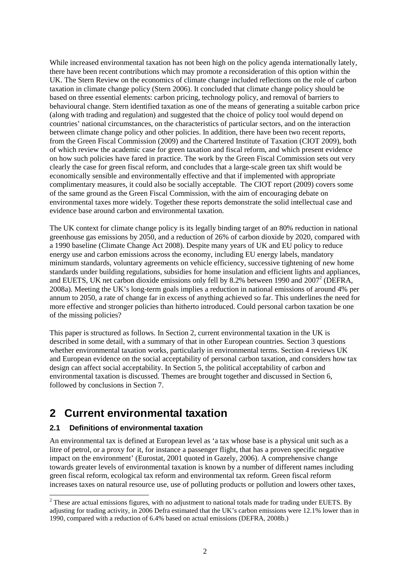While increased environmental taxation has not been high on the policy agenda internationally lately, there have been recent contributions which may promote a reconsideration of this option within the UK. The Stern Review on the economics of climate change included reflections on the role of carbon taxation in climate change policy (Stern 2006). It concluded that climate change policy should be based on three essential elements: carbon pricing, technology policy, and removal of barriers to behavioural change. Stern identified taxation as one of the means of generating a suitable carbon price (along with trading and regulation) and suggested that the choice of policy tool would depend on countries' national circumstances, on the characteristics of particular sectors, and on the interaction between climate change policy and other policies. In addition, there have been two recent reports, from the Green Fiscal Commission (2009) and the Chartered Institute of Taxation (CIOT 2009), both of which review the academic case for green taxation and fiscal reform, and which present evidence on how such policies have fared in practice. The work by the Green Fiscal Commission sets out very clearly the case for green fiscal reform, and concludes that a large-scale green tax shift would be economically sensible and environmentally effective and that if implemented with appropriate complimentary measures, it could also be socially acceptable. The CIOT report (2009) covers some of the same ground as the Green Fiscal Commission, with the aim of encouraging debate on environmental taxes more widely. Together these reports demonstrate the solid intellectual case and evidence base around carbon and environmental taxation.

The UK context for climate change policy is its legally binding target of an 80% reduction in national greenhouse gas emissions by 2050, and a reduction of 26% of carbon dioxide by 2020, compared with a 1990 baseline (Climate Change Act 2008). Despite many years of UK and EU policy to reduce energy use and carbon emissions across the economy, including EU energy labels,mand[at](#page-1-0)ory minimum standards, voluntary agreements on vehicle efficiency, successive tightening of new home standards under building regulations, subsidies for home insulation and efficient lights and appliances, and EUETS, UK net carbon dioxide emissions only fell by 8.2% between 1990 and  $2007^2$  (DEFRA, 2008a). Meeting the UK's long-term goals implies a reduction in national emissions of around 4% per annum to 2050, a rate of change far in excess of anything achieved so far. This underlines the need for more effective and stronger policies than hitherto introduced. Could personal carbon taxation be one of the missing policies?

This paper is structured as follows. In Section 2, current environmental taxation in the UK is described in some detail, with a summary of that in other European countries. Section 3 questions whether environmental taxation works, particularly in environmental terms. Section 4 reviews UK and European evidence on the social acceptability of personal carbon taxation, and considers how tax design can affect social acceptability. In Section 5, the political acceptability of carbon and environmental taxation is discussed. Themes are brought together and discussed in Section 6, followed by conclusions in Section 7.

# **2 Current environmental taxation**

## **2.1 Definitions of environmental taxation**

An environmental tax is defined at European level as 'a tax whose base is a physical unit such as a litre of petrol, or a proxy for it, for instance a passenger flight, that has a proven specific negative impact on the environment' (Eurostat, 2001 quoted in Gazely, 2006). A comprehensive change towards greater levels of environmental taxation is known by a number of different names including green fiscal reform, ecological tax reform and environmental tax reform. Green fiscal reform increases taxes on natural resource use, use of polluting products or pollution and lowers other taxes,

<span id="page-1-0"></span><sup>&</sup>lt;sup>2</sup> These are actual emissions figures, with no adjustment to national totals made for trading under EUETS. By adjusting for trading activity, in 2006 Defra estimated that the UK's carbon emissions were 12.1% lower than in 1990, compared with a reduction of 6.4% based on actual emissions (DEFRA, 2008b.)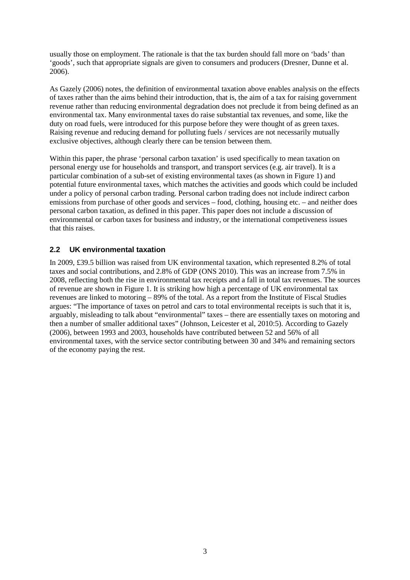usually those on employment. The rationale is that the tax burden should fall more on 'bads' than 'goods', such that appropriate signals are given to consumers and producers (Dresner, Dunne et al. 2006).

As Gazely (2006) notes, the definition of environmental taxation above enables analysis on the effects of taxes rather than the aims behind their introduction, that is, the aim of a tax for raising government revenue rather than reducing environmental degradation does not preclude it from being defined as an environmental tax. Many environmental taxes do raise substantial tax revenues, and some, like the duty on road fuels, were introduced for this purpose before they were thought of as green taxes. Raising revenue and reducing demand for polluting fuels / services are not necessarily mutually exclusive objectives, although clearly there can be tension between them.

Within this paper, the phrase 'personal carbon taxation' is used specifically to mean taxation on personal energy use for households and transport, and transport services (e.g. air travel). It is a particular combination of a sub-set of existing environmental taxes (as shown in Figure 1) and potential future environmental taxes, which matches the activities and goods which could be included under a policy of personal carbon trading. Personal carbon trading does not include indirect carbon emissions from purchase of other goods and services – food, clothing, housing etc. – and neither does personal carbon taxation, as defined in this paper. This paper does not include a discussion of environmental or carbon taxes for business and industry, or the international competiveness issues that this raises.

## **2.2 UK environmental taxation**

[In 2009, £39.5 billion was raised from UK environmental taxation, which represented 8.2% of total](#page-3-0) taxes and social contributions, and 2.8% of GDP (ONS 2010). This was an increase from 7.5% in 2008, reflecting both the rise in environmental tax receipts and a fall in total tax revenues. The sources of revenue are shown in Figure 1. It is striking how high a percentage of UK environmental tax revenues are linked to motoring – 89% of the total. As a report from the Institute of Fiscal Studies argues: "The importance of taxes on petrol and cars to total environmental receipts is such that it is, arguably, misleading to talk about "environmental" taxes – there are essentially taxes on motoring and then a number of smaller additional taxes" (Johnson, Leicester et al, 2010:5). According to Gazely (2006), between 1993 and 2003, households have contributed between 52 and 56% of all environmental taxes, with the service sector contributing between 30 and 34% and remaining sectors of the economy paying the rest.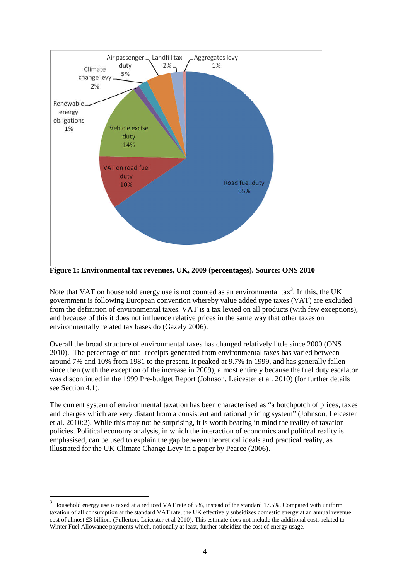

<span id="page-3-0"></span>**Figure 1: Environmental tax revenues, UK, 2009 (percentages). Source: ONS 2010**

Notethat VAT on household energy use is not counted as an environmental ta[x](#page-3-1)<sup>3</sup>. In this, the UK government is following European convention whereby value added type taxes (VAT) are excluded from the definition of environmental taxes. VAT is a tax levied on all products (with few exceptions), and because of this it does not influence relative prices in the same way that other taxes on environmentally related tax bases do (Gazely 2006).

Overall the broad structure of environmental taxes has changed relatively little since 2000 (ONS 2010). The percentage of total receipts generated from environmental taxes has varied between around 7% and 10% from 1981 to the present. It peaked at 9.7% in 1999, and has generally fallen since then (with the exception of the increase in 2009), almost entirely because the fuel duty escalator was discontinued in the 1999 Pre-budget Report (Johnson, Leicester et al. 2010) (for further details see Section 4.1).

The current system of environmental taxation has been characterised as "a hotchpotch of prices, taxes and charges which are very distant from a consistent and rational pricing system" (Johnson, Leicester et al. 2010:2). While this may not be surprising, it is worth bearing in mind the reality of taxation policies. Political economy analysis, in which the interaction of economics and political reality is emphasised, can be used to explain the gap between theoretical ideals and practical reality, as illustrated for the UK Climate Change Levy in a paper by Pearce (2006).

<span id="page-3-1"></span> $3$  Household energy use is taxed at a reduced VAT rate of 5%, instead of the standard 17.5%. Compared with uniform taxation of all consumption at the standard VAT rate, the UK effectively subsidizes domestic energy at an annual revenue cost of almost £3 billion. (Fullerton, Leicester et al 2010). This estimate does not include the additional costs related to Winter Fuel Allowance payments which, notionally at least, further subsidize the cost of energy usage.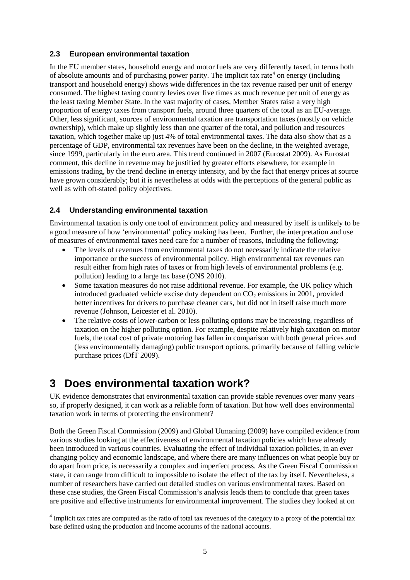## **2.3 European environmental taxation**

In the EU member states, household energy and motor fuels are very differently taxed, in terms both ofabsolut[e](#page-4-0) amounts and of purchasing power parity. The implicit tax rate<sup>4</sup> on energy (including transport and household energy) shows wide differences in the tax revenue raised per unit of energy consumed. The highest taxing country levies over five times as much revenue per unit of energy as the least taxing Member State. In the vast majority of cases, Member States raise a very high proportion of energy taxes from transport fuels, around three quarters of the total as an EU-average. Other, less significant, sources of environmental taxation are transportation taxes (mostly on vehicle ownership), which make up slightly less than one quarter of the total, and pollution and resources taxation, which together make up just 4% of total environmental taxes. The data also show that as a percentage of GDP, environmental tax revenues have been on the decline, in the weighted average, since 1999, particularly in the euro area. This trend continued in 2007 (Eurostat 2009). As Eurostat comment, this decline in revenue may be justified by greater efforts elsewhere, for example in emissions trading, by the trend decline in energy intensity, and by the fact that energy prices at source have grown considerably; but it is nevertheless at odds with the perceptions of the general public as well as with oft-stated policy objectives.

## **2.4 Understanding environmental taxation**

Environmental taxation is only one tool of environment policy and measured by itself is unlikely to be a good measure of how 'environmental' policy making has been. Further, the interpretation and use of measures of environmental taxes need care for a number of reasons, including the following:

- The levels of revenues from environmental taxes do not necessarily indicate the relative importance or the success of environmental policy. High environmental tax revenues can result either from high rates of taxes or from high levels of environmental problems (e.g. pollution) leading to a large tax base (ONS 2010).
- Some taxation measures do not raise additional revenue. For example, the UK policy which introduced graduated vehicle excise duty dependent on  $CO<sub>2</sub>$  emissions in 2001, provided better incentives for drivers to purchase cleaner cars, but did not in itself raise much more revenue (Johnson, Leicester et al. 2010).
- The relative costs of lower-carbon or less polluting options may be increasing, regardless of taxation on the higher polluting option. For example, despite relatively high taxation on motor fuels, the total cost of private motoring has fallen in comparison with both general prices and (less environmentally damaging) public transport options, primarily because of falling vehicle purchase prices (DfT 2009).

# **3 Does environmental taxation work?**

UK evidence demonstrates that environmental taxation can provide stable revenues over many years – so, if properly designed, it can work as a reliable form of taxation. But how well does environmental taxation work in terms of protecting the environment?

Both the Green Fiscal Commission (2009) and Global Utmaning (2009) have compiled evidence from various studies looking at the effectiveness of environmental taxation policies which have already been introduced in various countries. Evaluating the effect of individual taxation policies, in an ever changing policy and economic landscape, and where there are many influences on what people buy or do apart from price, is necessarily a complex and imperfect process. As the Green Fiscal Commission state, it can range from difficult to impossible to isolate the effect of the tax by itself. Nevertheless, a number of researchers have carried out detailed studies on various environmental taxes. Based on these case studies, the Green Fiscal Commission's analysis leads them to conclude that green taxes are positive and effective instruments for environmental improvement. The studies they looked at on

<span id="page-4-0"></span><sup>&</sup>lt;sup>4</sup> Implicit tax rates are computed as the ratio of total tax revenues of the category to a proxy of the potential tax base defined using the production and income accounts of the national accounts.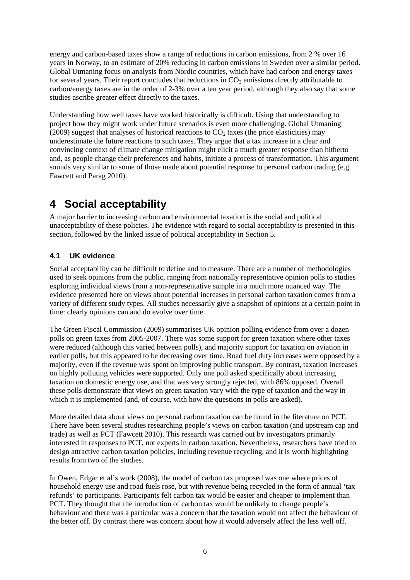energy and carbon-based taxes show a range of reductions in carbon emissions, from 2 % over 16 years in Norway, to an estimate of 20% reducing in carbon emissions in Sweden over a similar period. Global Utmaning focus on analysis from Nordic countries, which have had carbon and energy taxes for several years. Their report concludes that reductions in  $CO<sub>2</sub>$  emissions directly attributable to carbon/energy taxes are in the order of 2-3% over a ten year period, although they also say that some studies ascribe greater effect directly to the taxes.

Understanding how well taxes have worked historically is difficult. Using that understanding to project how they might work under future scenarios is even more challenging. Global Utmaning  $(2009)$  suggest that analyses of historical reactions to  $CO<sub>2</sub>$  taxes (the price elasticities) may underestimate the future reactions to such taxes. They argue that a tax increase in a clear and convincing context of climate change mitigation might elicit a much greater response than hitherto and, as people change their preferences and habits, initiate a process of transformation. This argument sounds very similar to some of those made about potential response to personal carbon trading (e.g. Fawcett and Parag 2010).

# **4 Social acceptability**

A major barrier to increasing carbon and environmental taxation is the social and political unacceptability of these policies. The evidence with regard to social acceptability is presented in this section, followed by the linked issue of political acceptability in Section 5.

## **4.1 UK evidence**

Social acceptability can be difficult to define and to measure. There are a number of methodologies used to seek opinions from the public, ranging from nationally representative opinion polls to studies exploring individual views from a non-representative sample in a much more nuanced way. The evidence presented here on views about potential increases in personal carbon taxation comes from a variety of different study types. All studies necessarily give a snapshot of opinions at a certain point in time: clearly opinions can and do evolve over time.

The Green Fiscal Commission (2009) summarises UK opinion polling evidence from over a dozen polls on green taxes from 2005-2007. There was some support for green taxation where other taxes were reduced (although this varied between polls), and majority support for taxation on aviation in earlier polls, but this appeared to be decreasing over time. Road fuel duty increases were opposed by a majority, even if the revenue was spent on improving public transport. By contrast, taxation increases on highly polluting vehicles were supported. Only one poll asked specifically about increasing taxation on domestic energy use, and that was very strongly rejected, with 86% opposed. Overall these polls demonstrate that views on green taxation vary with the type of taxation and the way in which it is implemented (and, of course, with how the questions in polls are asked).

More detailed data about views on personal carbon taxation can be found in the literature on PCT. There have been several studies researching people's views on carbon taxation (and upstream cap and trade) as well as PCT (Fawcett 2010). This research was carried out by investigators primarily interested in responses to PCT, not experts in carbon taxation. Nevertheless, researchers have tried to design attractive carbon taxation policies, including revenue recycling, and it is worth highlighting results from two of the studies.

In Owen, Edgar et al's work (2008), the model of carbon tax proposed was one where prices of household energy use and road fuels rose, but with revenue being recycled in the form of annual 'tax refunds' to participants. Participants felt carbon tax would be easier and cheaper to implement than PCT. They thought that the introduction of carbon tax would be unlikely to change people's behaviour and there was a particular was a concern that the taxation would not affect the behaviour of the better off. By contrast there was concern about how it would adversely affect the less well off.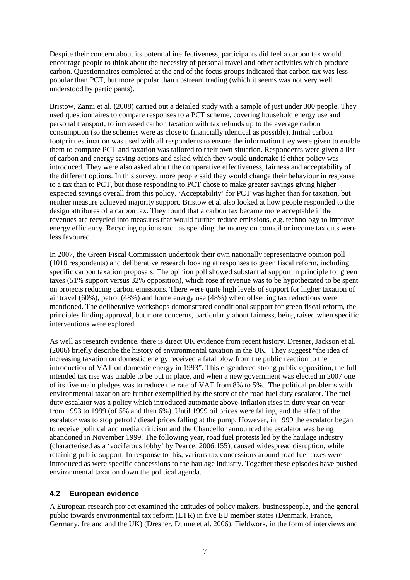Despite their concern about its potential ineffectiveness, participants did feel a carbon tax would encourage people to think about the necessity of personal travel and other activities which produce carbon. Questionnaires completed at the end of the focus groups indicated that carbon tax was less popular than PCT, but more popular than upstream trading (which it seems was not very well understood by participants).

Bristow, Zanni et al. (2008) carried out a detailed study with a sample of just under 300 people. They used questionnaires to compare responses to a PCT scheme, covering household energy use and personal transport, to increased carbon taxation with tax refunds up to the average carbon consumption (so the schemes were as close to financially identical as possible). Initial carbon footprint estimation was used with all respondents to ensure the information they were given to enable them to compare PCT and taxation was tailored to their own situation. Respondents were given a list of carbon and energy saving actions and asked which they would undertake if either policy was introduced. They were also asked about the comparative effectiveness, fairness and acceptability of the different options. In this survey, more people said they would change their behaviour in response to a tax than to PCT, but those responding to PCT chose to make greater savings giving higher expected savings overall from this policy. 'Acceptability' for PCT was higher than for taxation, but neither measure achieved majority support. Bristow et al also looked at how people responded to the design attributes of a carbon tax. They found that a carbon tax became more acceptable if the revenues are recycled into measures that would further reduce emissions, e.g. technology to improve energy efficiency. Recycling options such as spending the money on council or income tax cuts were less favoured.

In 2007, the Green Fiscal Commission undertook their own nationally representative opinion poll (1010 respondents) and deliberative research looking at responses to green fiscal reform, including specific carbon taxation proposals. The opinion poll showed substantial support in principle for green taxes (51% support versus 32% opposition), which rose if revenue was to be hypothecated to be spent on projects reducing carbon emissions. There were quite high levels of support for higher taxation of air travel (60%), petrol (48%) and home energy use (48%) when offsetting tax reductions were mentioned. The deliberative workshops demonstrated conditional support for green fiscal reform, the principles finding approval, but more concerns, particularly about fairness, being raised when specific interventions were explored.

As well as research evidence, there is direct UK evidence from recent history. Dresner, Jackson et al. (2006) briefly describe the history of environmental taxation in the UK. They suggest "the idea of increasing taxation on domestic energy received a fatal blow from the public reaction to the introduction of VAT on domestic energy in 1993". This engendered strong public opposition, the full intended tax rise was unable to be put in place, and when a new government was elected in 2007 one of its five main pledges was to reduce the rate of VAT from 8% to 5%. The political problems with environmental taxation are further exemplified by the story of the road fuel duty escalator. The fuel duty escalator was a policy which introduced automatic above-inflation rises in duty year on year from 1993 to 1999 (of 5% and then 6%). Until 1999 oil prices were falling, and the effect of the escalator was to stop petrol / diesel prices falling at the pump. However, in 1999 the escalator began to receive political and media criticism and the Chancellor announced the escalator was being abandoned in November 1999. The following year, road fuel protests led by the haulage industry (characterised as a 'vociferous lobby' by Pearce, 2006:155), caused widespread disruption, while retaining public support. In response to this, various tax concessions around road fuel taxes were introduced as were specific concessions to the haulage industry. Together these episodes have pushed environmental taxation down the political agenda.

## **4.2 European evidence**

A European research project examined the attitudes of policy makers, businesspeople, and the general public towards environmental tax reform (ETR) in five EU member states (Denmark, France, Germany, Ireland and the UK) (Dresner, Dunne et al. 2006). Fieldwork, in the form of interviews and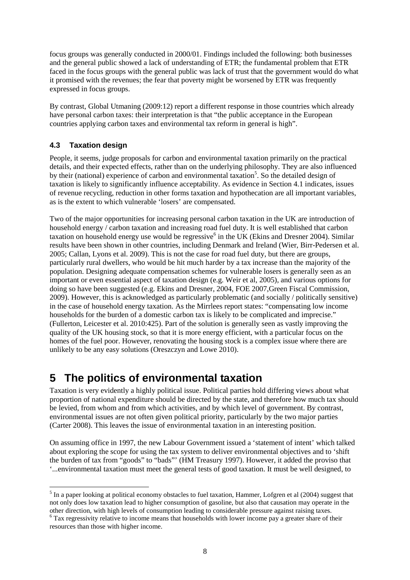focus groups was generally conducted in 2000/01. Findings included the following: both businesses and the general public showed a lack of understanding of ETR; the fundamental problem that ETR faced in the focus groups with the general public was lack of trust that the government would do what it promised with the revenues; the fear that poverty might be worsened by ETR was frequently expressed in focus groups.

By contrast, Global Utmaning (2009:12) report a different response in those countries which already have personal carbon taxes: their interpretation is that "the public acceptance in the European countries applying carbon taxes and environmental tax reform in general is high".

## **4.3 Taxation design**

People, it seems, judge proposals for carbon and environmental taxation primarily on the practical details, and their expected effects, rather than on the underlying philosophy. They are also influenced by their (national) experience of carbon and environmental taxation<sup>[5](#page-7-0)</sup>. So the detailed design of taxation is likely to significantly influence acceptability. As evidence in Section 4.1 indicates, issues of revenue recycling, reduction in other forms taxation and hypothecation are all important variables, as is the extent to which vulnerable 'losers' are compensated.

Two of the major opportunities for increasing personal carbon taxation in the UK are introduction of household energy / carbon taxation and increasing road fuel duty. It is well established that carbon taxation on household energy use would be regressive<sup>[6](#page-7-1)</sup> in the UK (Ekins and Dresner 2004). Similar results have been shown in other countries, including Denmark and Ireland (Wier, Birr-Pedersen et al. 2005; Callan, Lyons et al. 2009). This is not the case for road fuel duty, but there are groups, particularly rural dwellers, who would be hit much harder by a tax increase than the majority of the population. Designing adequate compensation schemes for vulnerable losers is generally seen as an important or even essential aspect of taxation design (e.g. Weir et al, 2005), and various options for doing so have been suggested (e.g. Ekins and Dresner, 2004, FOE 2007,Green Fiscal Commission, 2009). However, this is acknowledged as particularly problematic (and socially / politically sensitive) in the case of household energy taxation. As the Mirrlees report states: "compensating low income households for the burden of a domestic carbon tax is likely to be complicated and imprecise." (Fullerton, Leicester et al. 2010:425). Part of the solution is generally seen as vastly improving the quality of the UK housing stock, so that it is more energy efficient, with a particular focus on the homes of the fuel poor. However, renovating the housing stock is a complex issue where there are unlikely to be any easy solutions (Oreszczyn and Lowe 2010).

# **5 The politics of environmental taxation**

Taxation is very evidently a highly political issue. Political parties hold differing views about what proportion of national expenditure should be directed by the state, and therefore how much tax should be levied, from whom and from which activities, and by which level of government. By contrast, environmental issues are not often given political priority, particularly by the two major parties (Carter 2008). This leaves the issue of environmental taxation in an interesting position.

On assuming office in 1997, the new Labour Government issued a 'statement of intent' which talked about exploring the scope for using the tax system to deliver environmental objectives and to 'shift the burden of tax from "goods" to "bads"' (HM Treasury 1997). However, it added the proviso that '...environmental taxation must meet the general tests of good taxation. It must be well designed, to

<span id="page-7-0"></span><sup>&</sup>lt;sup>5</sup> In a paper looking at political economy obstacles to fuel taxation, Hammer, Lofgren et al (2004) suggest that not only does low taxation lead to higher consumption of gasoline, but also that causation may operate in the other direction, with high levels of consumption leading to considerable pressure against raising taxes.

<span id="page-7-1"></span><sup>&</sup>lt;sup>6</sup> Tax regressivity relative to income means that households with lower income pay a greater share of their resources than those with higher income.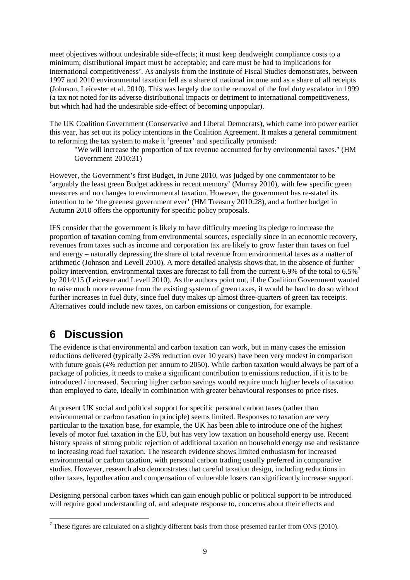meet objectives without undesirable side-effects; it must keep deadweight compliance costs to a minimum; distributional impact must be acceptable; and care must be had to implications for international competitiveness'. As analysis from the Institute of Fiscal Studies demonstrates, between 1997 and 2010 environmental taxation fell as a share of national income and as a share of all receipts (Johnson, Leicester et al. 2010). This was largely due to the removal of the fuel duty escalator in 1999 (a tax not noted for its adverse distributional impacts or detriment to international competitiveness, but which had had the undesirable side-effect of becoming unpopular).

The UK Coalition Government (Conservative and Liberal Democrats), which came into power earlier this year, has set out its policy intentions in the Coalition Agreement. It makes a general commitment to reforming the tax system to make it 'greener' and specifically promised:

"We will increase the proportion of tax revenue accounted for by environmental taxes." (HM Government 2010:31)

However, the Government's first Budget, in June 2010, was judged by one commentator to be 'arguably the least green Budget address in recent memory' (Murray 2010), with few specific green measures and no changes to environmental taxation. However, the government has re-stated its intention to be 'the greenest government ever' (HM Treasury 2010:28), and a further budget in Autumn 2010 offers the opportunity for specific policy proposals.

IFS consider that the government is likely to have difficulty meeting its pledge to increase the proportion of taxation coming from environmental sources, especially since in an economic recovery, revenues from taxes such as income and corporation tax are likely to grow faster than taxes on fuel and energy – naturally depressing the share of total revenue from environmental taxes as a matter of arithmetic (Johnson and Levell 2010). A more detailed analysis shows that, in the absence of further policyintervention, environmental taxes are forecast to fall from the current 6.9[%](#page-8-0) of the total to 6.5%<sup>7</sup> by 2014/15 (Leicester and Levell 2010). As the authors point out, if the Coalition Government wanted to raise much more revenue from the existing system of green taxes, it would be hard to do so without further increases in fuel duty, since fuel duty makes up almost three-quarters of green tax receipts. Alternatives could include new taxes, on carbon emissions or congestion, for example.

# **6 Discussion**

The evidence is that environmental and carbon taxation can work, but in many cases the emission reductions delivered (typically 2-3% reduction over 10 years) have been very modest in comparison with future goals (4% reduction per annum to 2050). While carbon taxation would always be part of a package of policies, it needs to make a significant contribution to emissions reduction, if it is to be  $introduced / increased$ . Securing higher carbon savings would require much higher levels of taxation than employed to date, ideally in combination with greater behavioural responses to price rises.

At present UK social and political support for specific personal carbon taxes (rather than environmental or carbon taxation in principle) seems limited. Responses to taxation are very particular to the taxation base, for example, the UK has been able to introduce one of the highest levels of motor fuel taxation in the EU, but has very low taxation on household energy use. Recent history speaks of strong public rejection of additional taxation on household energy use and resistance to increasing road fuel taxation. The research evidence shows limited enthusiasm for increased environmental or carbon taxation, with personal carbon trading usually preferred in comparative studies. However, research also demonstrates that careful taxation design, including reductions in other taxes, hypothecation and compensation of vulnerable losers can significantly increase support.

Designing personal carbon taxes which can gain enough public or political support to be introduced will require good understanding of, and adequate response to, concerns about their effects and

<span id="page-8-0"></span> $7$  These figures are calculated on a slightly different basis from those presented earlier from ONS (2010).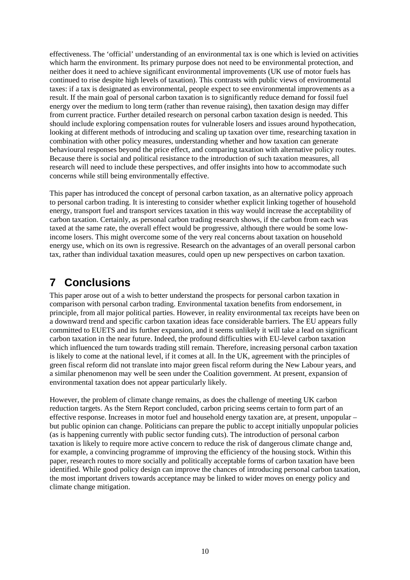effectiveness. The 'official' understanding of an environmental tax is one which is levied on activities which harm the environment. Its primary purpose does not need to be environmental protection, and neither does it need to achieve significant environmental improvements (UK use of motor fuels has continued to rise despite high levels of taxation). This contrasts with public views of environmental taxes: if a tax is designated as environmental, people expect to see environmental improvements as a result. If the main goal of personal carbon taxation is to significantly reduce demand for fossil fuel energy over the medium to long term (rather than revenue raising), then taxation design may differ from current practice. Further detailed research on personal carbon taxation design is needed. This should include exploring compensation routes for vulnerable losers and issues around hypothecation, looking at different methods of introducing and scaling up taxation over time, researching taxation in combination with other policy measures, understanding whether and how taxation can generate behavioural responses beyond the price effect, and comparing taxation with alternative policy routes. Because there is social and political resistance to the introduction of such taxation measures, all research will need to include these perspectives, and offer insights into how to accommodate such concerns while still being environmentally effective.

This paper has introduced the concept of personal carbon taxation, as an alternative policy approach to personal carbon trading. It is interesting to consider whether explicit linking together of household energy, transport fuel and transport services taxation in this way would increase the acceptability of carbon taxation. Certainly, as personal carbon trading research shows, if the carbon from each was taxed at the same rate, the overall effect would be progressive, although there would be some lowincome losers. This might overcome some of the very real concerns about taxation on household energy use, which on its own is regressive. Research on the advantages of an overall personal carbon tax, rather than individual taxation measures, could open up new perspectives on carbon taxation.

# **7 Conclusions**

This paper arose out of a wish to better understand the prospects for personal carbon taxation in comparison with personal carbon trading. Environmental taxation benefits from endorsement, in principle, from all major political parties. However, in reality environmental tax receipts have been on a downward trend and specific carbon taxation ideas face considerable barriers. The EU appears fully committed to EUETS and its further expansion, and it seems unlikely it will take a lead on significant carbon taxation in the near future. Indeed, the profound difficulties with EU-level carbon taxation which influenced the turn towards trading still remain. Therefore, increasing personal carbon taxation is likely to come at the national level, if it comes at all. In the UK, agreement with the principles of green fiscal reform did not translate into major green fiscal reform during the New Labour years, and a similar phenomenon may well be seen under the Coalition government. At present, expansion of environmental taxation does not appear particularly likely.

However, the problem of climate change remains, as does the challenge of meeting UK carbon reduction targets. As the Stern Report concluded, carbon pricing seems certain to form part of an effective response. Increases in motor fuel and household energy taxation are, at present, unpopular – but public opinion can change. Politicians can prepare the public to accept initially unpopular policies (as is happening currently with public sector funding cuts). The introduction of personal carbon taxation is likely to require more active concern to reduce the risk of dangerous climate change and, for example, a convincing programme of improving the efficiency of the housing stock. Within this paper, research routes to more socially and politically acceptable forms of carbon taxation have been identified. While good policy design can improve the chances of introducing personal carbon taxation, the most important drivers towards acceptance may be linked to wider moves on energy policy and climate change mitigation.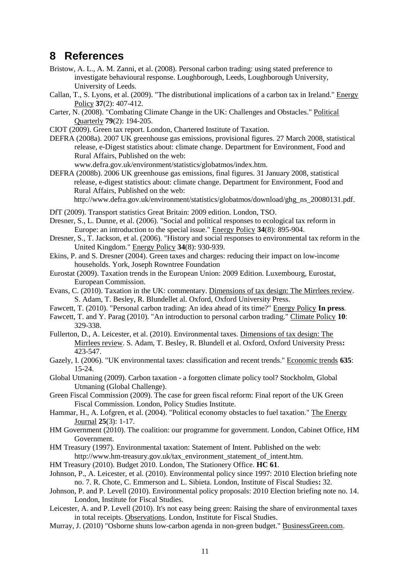## **8 References**

- Bristow, A. L., A. M. Zanni, et al. (2008). Personal carbon trading: using stated preference to investigate behavioural response. Loughborough, Leeds, Loughborough University, University of Leeds.
- Callan, T., S. Lyons, et al. (2009). "The distributional implications of a carbon tax in Ireland." Energy Policy **37**(2): 407-412.
- Carter, N. (2008). "Combating Climate Change in the UK: Challenges and Obstacles." Political Quarterly **79**(2): 194-205.
- CIOT (2009). Green tax report. London, Chartered Institute of Taxation.
- DEFRA (2008a). 2007 UK greenhouse gas emissions, provisional figures. 27 March 2008, statistical release, e-Digest statistics about: climate change. Department for Environment, Food and Rural Affairs, Published on the web:

www.defra.gov.uk/environment/statistics/globatmos/index.htm.

DEFRA (2008b). 2006 UK greenhouse gas emissions, final figures. 31 January 2008, statistical release, e-digest statistics about: climate change. Department for Environment, Food and Rural Affairs, Published on the web:

http://www.defra.gov.uk/environment/statistics/globatmos/download/ghg\_ns\_20080131.pdf.

- DfT (2009). Transport statistics Great Britain: 2009 edition. London, TSO.
- Dresner, S., L. Dunne, et al. (2006). "Social and political responses to ecological tax reform in Europe: an introduction to the special issue." Energy Policy **34**(8): 895-904.
- Dresner, S., T. Jackson, et al. (2006). "History and social responses to environmental tax reform in the United Kingdom." Energy Policy **34**(8): 930-939.
- Ekins, P. and S. Dresner (2004). Green taxes and charges: reducing their impact on low-income households. York, Joseph Rowntree Foundation
- Eurostat (2009). Taxation trends in the European Union: 2009 Edition. Luxembourg, Eurostat, European Commission.
- Evans, C. (2010). Taxation in the UK: commentary. Dimensions of tax design: The Mirrlees review. S. Adam, T. Besley, R. Blundellet al. Oxford, Oxford University Press.
- Fawcett, T. (2010). "Personal carbon trading: An idea ahead of its time?" Energy Policy **In press**.
- Fawcett, T. and Y. Parag (2010). "An introduction to personal carbon trading." Climate Policy **10**: 329-338.
- Fullerton, D., A. Leicester, et al. (2010). Environmental taxes. Dimensions of tax design: The Mirrlees review. S. Adam, T. Besley, R. Blundell et al. Oxford, Oxford University Press**:** 423-547.
- Gazely, I. (2006). "UK environmental taxes: classification and recent trends." Economic trends **635**: 15-24.
- Global Utmaning (2009). Carbon taxation a forgotten climate policy tool? Stockholm, Global Utmaning (Global Challenge).
- Green Fiscal Commission (2009). The case for green fiscal reform: Final report of the UK Green Fiscal Commission. London, Policy Studies Institute.
- Hammar, H., A. Lofgren, et al. (2004). "Political economy obstacles to fuel taxation." The Energy Journal **25**(3): 1-17.
- HM Government (2010). The coalition: our programme for government. London, Cabinet Office, HM Government.
- HM Treasury (1997). Environmental taxation: Statement of Intent. Published on the web: http://www.hm-treasury.gov.uk/tax\_environment\_statement\_of\_intent.htm.
- HM Treasury (2010). Budget 2010. London, The Stationery Office. **HC 61**.
- Johnson, P., A. Leicester, et al. (2010). Environmental policy since 1997: 2010 Election briefing note no. 7. R. Chote, C. Emmerson and L. Sibieta. London, Institute of Fiscal Studies**:** 32.
- Johnson, P. and P. Levell (2010). Environmental policy proposals: 2010 Election briefing note no. 14. London, Institute for Fiscal Studies.
- Leicester, A. and P. Levell (2010). It's not easy being green: Raising the share of environmental taxes in total receipts. Observations. London, Institute for Fiscal Studies.
- Murray, J. (2010) "Osborne shuns low-carbon agenda in non-green budget." BusinessGreen.com.